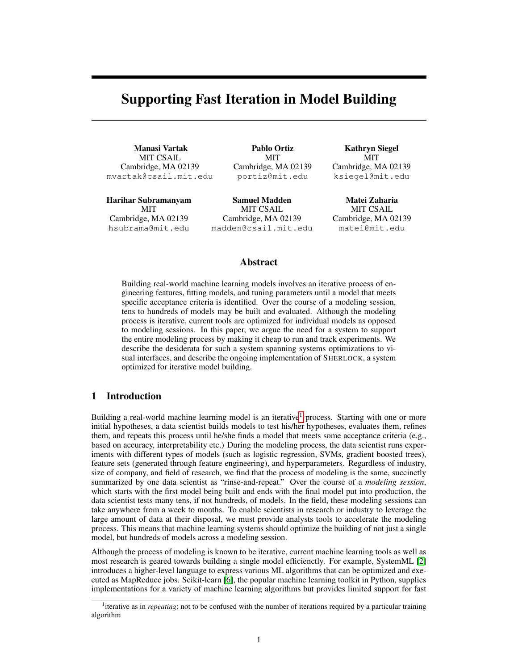# Supporting Fast Iteration in Model Building

Manasi Vartak MIT CSAIL Cambridge, MA 02139 mvartak@csail.mit.edu

Harihar Subramanyam **MIT** Cambridge, MA 02139 hsubrama@mit.edu

Pablo Ortiz MIT Cambridge, MA 02139 portiz@mit.edu

Samuel Madden MIT CSAIL Cambridge, MA 02139 madden@csail.mit.edu

Kathryn Siegel MIT Cambridge, MA 02139 ksiegel@mit.edu

Matei Zaharia MIT CSAIL Cambridge, MA 02139 matei@mit.edu

### Abstract

Building real-world machine learning models involves an iterative process of engineering features, fitting models, and tuning parameters until a model that meets specific acceptance criteria is identified. Over the course of a modeling session, tens to hundreds of models may be built and evaluated. Although the modeling process is iterative, current tools are optimized for individual models as opposed to modeling sessions. In this paper, we argue the need for a system to support the entire modeling process by making it cheap to run and track experiments. We describe the desiderata for such a system spanning systems optimizations to visual interfaces, and describe the ongoing implementation of SHERLOCK, a system optimized for iterative model building.

# 1 Introduction

Building a real-world machine learning model is an iterative<sup>[1](#page-0-0)</sup> process. Starting with one or more initial hypotheses, a data scientist builds models to test his/her hypotheses, evaluates them, refines them, and repeats this process until he/she finds a model that meets some acceptance criteria (e.g., based on accuracy, interpretability etc.) During the modeling process, the data scientist runs experiments with different types of models (such as logistic regression, SVMs, gradient boosted trees), feature sets (generated through feature engineering), and hyperparameters. Regardless of industry, size of company, and field of research, we find that the process of modeling is the same, succinctly summarized by one data scientist as "rinse-and-repeat." Over the course of a *modeling session*, which starts with the first model being built and ends with the final model put into production, the data scientist tests many tens, if not hundreds, of models. In the field, these modeling sessions can take anywhere from a week to months. To enable scientists in research or industry to leverage the large amount of data at their disposal, we must provide analysts tools to accelerate the modeling process. This means that machine learning systems should optimize the building of not just a single model, but hundreds of models across a modeling session.

Although the process of modeling is known to be iterative, current machine learning tools as well as most research is geared towards building a single model efficienctly. For example, SystemML [\[2\]](#page-4-0) introduces a higher-level language to express various ML algorithms that can be optimized and executed as MapReduce jobs. Scikit-learn [\[6\]](#page-5-0), the popular machine learning toolkit in Python, supplies implementations for a variety of machine learning algorithms but provides limited support for fast

<span id="page-0-0"></span><sup>&</sup>lt;sup>1</sup>iterative as in *repeating*; not to be confused with the number of iterations required by a particular training algorithm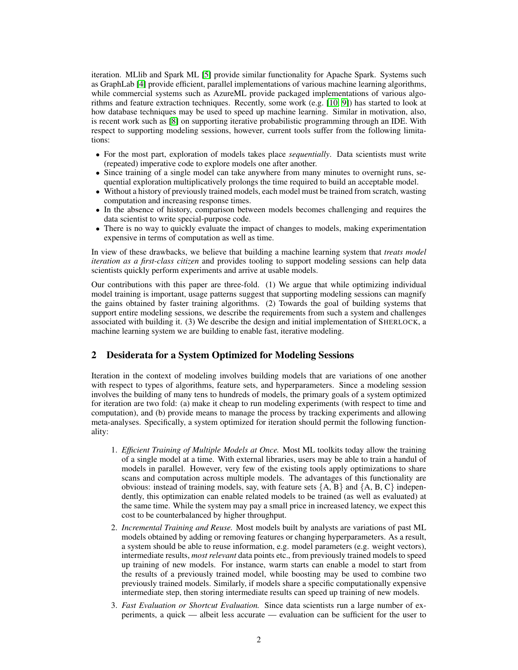iteration. MLlib and Spark ML [\[5\]](#page-4-1) provide similar functionality for Apache Spark. Systems such as GraphLab [\[4\]](#page-4-2) provide efficient, parallel implementations of various machine learning algorithms, while commercial systems such as AzureML provide packaged implementations of various algorithms and feature extraction techniques. Recently, some work (e.g. [\[10,](#page-5-1) [9\]](#page-5-2)) has started to look at how database techniques may be used to speed up machine learning. Similar in motivation, also, is recent work such as [\[8\]](#page-5-3) on supporting iterative probabilistic programming through an IDE. With respect to supporting modeling sessions, however, current tools suffer from the following limitations:

- For the most part, exploration of models takes place *sequentially*. Data scientists must write (repeated) imperative code to explore models one after another.
- Since training of a single model can take anywhere from many minutes to overnight runs, sequential exploration multiplicatively prolongs the time required to build an acceptable model.
- Without a history of previously trained models, each model must be trained from scratch, wasting computation and increasing response times.
- In the absence of history, comparison between models becomes challenging and requires the data scientist to write special-purpose code.
- There is no way to quickly evaluate the impact of changes to models, making experimentation expensive in terms of computation as well as time.

In view of these drawbacks, we believe that building a machine learning system that *treats model iteration as a first-class citizen* and provides tooling to support modeling sessions can help data scientists quickly perform experiments and arrive at usable models.

Our contributions with this paper are three-fold. (1) We argue that while optimizing individual model training is important, usage patterns suggest that supporting modeling sessions can magnify the gains obtained by faster training algorithms. (2) Towards the goal of building systems that support entire modeling sessions, we describe the requirements from such a system and challenges associated with building it. (3) We describe the design and initial implementation of SHERLOCK, a machine learning system we are building to enable fast, iterative modeling.

# 2 Desiderata for a System Optimized for Modeling Sessions

Iteration in the context of modeling involves building models that are variations of one another with respect to types of algorithms, feature sets, and hyperparameters. Since a modeling session involves the building of many tens to hundreds of models, the primary goals of a system optimized for iteration are two fold: (a) make it cheap to run modeling experiments (with respect to time and computation), and (b) provide means to manage the process by tracking experiments and allowing meta-analyses. Specifically, a system optimized for iteration should permit the following functionality:

- 1. *Efficient Training of Multiple Models at Once.* Most ML toolkits today allow the training of a single model at a time. With external libraries, users may be able to train a handul of models in parallel. However, very few of the existing tools apply optimizations to share scans and computation across multiple models. The advantages of this functionality are obvious: instead of training models, say, with feature sets  ${A, B}$  and  ${A, B, C}$  independently, this optimization can enable related models to be trained (as well as evaluated) at the same time. While the system may pay a small price in increased latency, we expect this cost to be counterbalanced by higher throughput.
- 2. *Incremental Training and Reuse.* Most models built by analysts are variations of past ML models obtained by adding or removing features or changing hyperparameters. As a result, a system should be able to reuse information, e.g. model parameters (e.g. weight vectors), intermediate results, *most relevant* data points etc., from previously trained models to speed up training of new models. For instance, warm starts can enable a model to start from the results of a previously trained model, while boosting may be used to combine two previously trained models. Similarly, if models share a specific computationally expensive intermediate step, then storing intermediate results can speed up training of new models.
- 3. *Fast Evaluation or Shortcut Evaluation.* Since data scientists run a large number of experiments, a quick — albeit less accurate — evaluation can be sufficient for the user to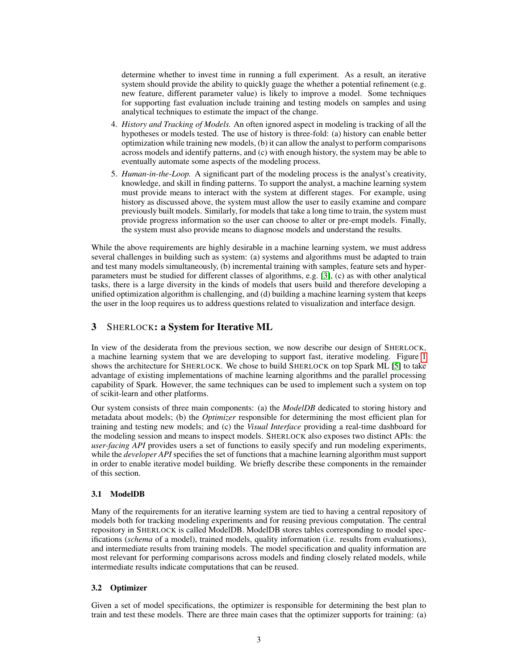determine whether to invest time in running a full experiment. As a result, an iterative system should provide the ability to quickly guage the whether a potential refinement (e.g. new feature, different parameter value) is likely to improve a model. Some techniques for supporting fast evaluation include training and testing models on samples and using analytical techniques to estimate the impact of the change.

- 4. *History and Tracking of Models.* An often ignored aspect in modeling is tracking of all the hypotheses or models tested. The use of history is three-fold: (a) history can enable better optimization while training new models, (b) it can allow the analyst to perform comparisons across models and identify patterns, and (c) with enough history, the system may be able to eventually automate some aspects of the modeling process.
- 5. *Human-in-the-Loop.* A significant part of the modeling process is the analyst's creativity, knowledge, and skill in finding patterns. To support the analyst, a machine learning system must provide means to interact with the system at different stages. For example, using history as discussed above, the system must allow the user to easily examine and compare previously built models. Similarly, for models that take a long time to train, the system must provide progress information so the user can choose to alter or pre-empt models. Finally, the system must also provide means to diagnose models and understand the results.

While the above requirements are highly desirable in a machine learning system, we must address several challenges in building such as system: (a) systems and algorithms must be adapted to train and test many models simultaneously, (b) incremental training with samples, feature sets and hyperparameters must be studied for different classes of algorithms, e.g. [\[3\]](#page-4-3), (c) as with other analytical tasks, there is a large diversity in the kinds of models that users build and therefore developing a unified optimization algorithm is challenging, and (d) building a machine learning system that keeps the user in the loop requires us to address questions related to visualization and interface design.

# 3 SHERLOCK: a System for Iterative ML

In view of the desiderata from the previous section, we now describe our design of SHERLOCK, a machine learning system that we are developing to support fast, iterative modeling. Figure [1](#page-3-0) shows the architecture for SHERLOCK. We chose to build SHERLOCK on top Spark ML [\[5\]](#page-4-1) to take advantage of existing implementations of machine learning algorithms and the parallel processing capability of Spark. However, the same techniques can be used to implement such a system on top of scikit-learn and other platforms.

Our system consists of three main components: (a) the *ModelDB* dedicated to storing history and metadata about models; (b) the *Optimizer* responsible for determining the most efficient plan for training and testing new models; and (c) the *Visual Interface* providing a real-time dashboard for the modeling session and means to inspect models. SHERLOCK also exposes two distinct APIs: the *user-facing API* provides users a set of functions to easily specify and run modeling experiments, while the *developer API* specifies the set of functions that a machine learning algorithm must support in order to enable iterative model building. We briefly describe these components in the remainder of this section.

## 3.1 ModelDB

Many of the requirements for an iterative learning system are tied to having a central repository of models both for tracking modeling experiments and for reusing previous computation. The central repository in SHERLOCK is called ModelDB. ModelDB stores tables corresponding to model specifications (*schema* of a model), trained models, quality information (i.e. results from evaluations), and intermediate results from training models. The model specification and quality information are most relevant for performing comparisons across models and finding closely related models, while intermediate results indicate computations that can be reused.

#### 3.2 Optimizer

Given a set of model specifications, the optimizer is responsible for determining the best plan to train and test these models. There are three main cases that the optimizer supports for training: (a)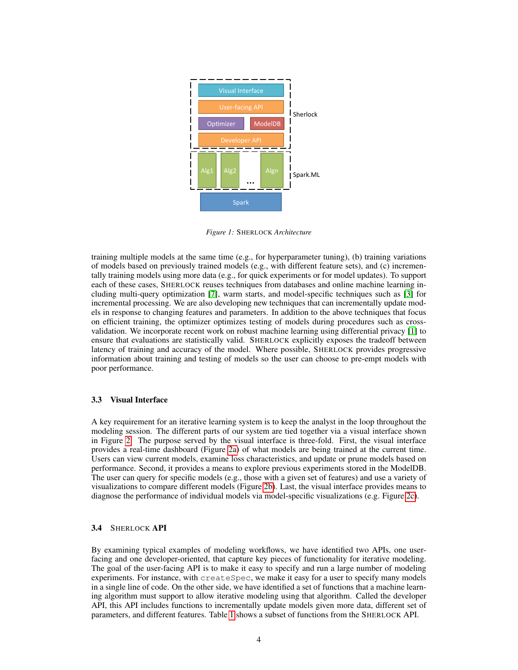<span id="page-3-0"></span>

*Figure 1:* SHERLOCK *Architecture*

training multiple models at the same time (e.g., for hyperparameter tuning), (b) training variations of models based on previously trained models (e.g., with different feature sets), and (c) incrementally training models using more data (e.g., for quick experiments or for model updates). To support each of these cases, SHERLOCK reuses techniques from databases and online machine learning including multi-query optimization [\[7\]](#page-5-4), warm starts, and model-specific techniques such as [\[3\]](#page-4-3) for incremental processing. We are also developing new techniques that can incrementally update models in response to changing features and parameters. In addition to the above techniques that focus on efficient training, the optimizer optimizes testing of models during procedures such as crossvalidation. We incorporate recent work on robust machine learning using differential privacy [\[1\]](#page-4-4) to ensure that evaluations are statistically valid. SHERLOCK explicitly exposes the tradeoff between latency of training and accuracy of the model. Where possible, SHERLOCK provides progressive information about training and testing of models so the user can choose to pre-empt models with poor performance.

#### 3.3 Visual Interface

A key requirement for an iterative learning system is to keep the analyst in the loop throughout the modeling session. The different parts of our system are tied together via a visual interface shown in Figure [2.](#page-4-5) The purpose served by the visual interface is three-fold. First, the visual interface provides a real-time dashboard (Figure [2a\)](#page-4-5) of what models are being trained at the current time. Users can view current models, examine loss characteristics, and update or prune models based on performance. Second, it provides a means to explore previous experiments stored in the ModelDB. The user can query for specific models (e.g., those with a given set of features) and use a variety of visualizations to compare different models (Figure [2b\)](#page-4-5). Last, the visual interface provides means to diagnose the performance of individual models via model-specific visualizations (e.g. Figure [2c\)](#page-4-5).

#### 3.4 SHERLOCK API

By examining typical examples of modeling workflows, we have identified two APIs, one userfacing and one developer-oriented, that capture key pieces of functionality for iterative modeling. The goal of the user-facing API is to make it easy to specify and run a large number of modeling experiments. For instance, with createSpec, we make it easy for a user to specify many models in a single line of code. On the other side, we have identified a set of functions that a machine learning algorithm must support to allow iterative modeling using that algorithm. Called the developer API, this API includes functions to incrementally update models given more data, different set of parameters, and different features. Table [1](#page-4-6) shows a subset of functions from the SHERLOCK API.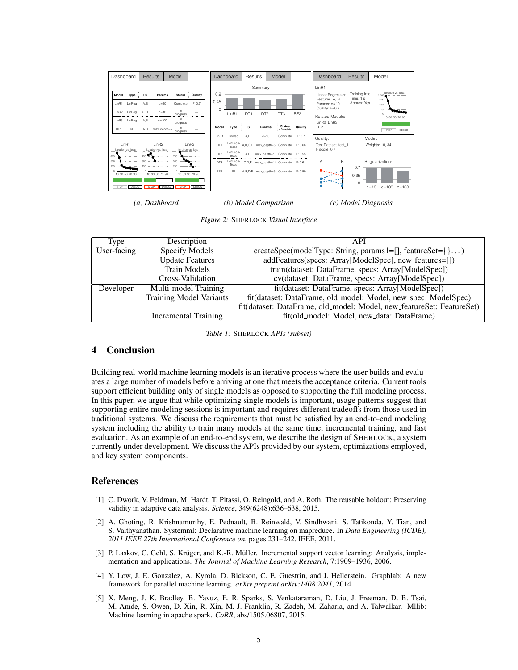<span id="page-4-5"></span>

*(a) Dashboard*

*(b) Model Comparison*

*Figure 2:* SHERLOCK *Visual Interface*

<span id="page-4-6"></span>

| Type        | Description                    | API                                                                   |
|-------------|--------------------------------|-----------------------------------------------------------------------|
| User-facing | <b>Specify Models</b>          | createSpec(modelType: String, params1=[], featureSet={})              |
|             | <b>Update Features</b>         | addFeatures(specs: Array[ModelSpec], new_features=[])                 |
|             | <b>Train Models</b>            | train(dataset: DataFrame, specs: Array[ModelSpec])                    |
|             | Cross-Validation               | cv(dataset: DataFrame, specs: Array[ModelSpec])                       |
| Developer   | Multi-model Training           | fit(dataset: DataFrame, specs: Array[ModelSpec])                      |
|             | <b>Training Model Variants</b> | fit(dataset: DataFrame, old_model: Model, new_spec: ModelSpec)        |
|             |                                | fit(dataset: DataFrame, old_model: Model, new_featureSet: FeatureSet) |
|             | Incremental Training           | fit(old_model: Model, new_data: DataFrame)                            |

*(c) Model Diagnosis*

*Table 1:* SHERLOCK *APIs (subset)*

## 4 Conclusion

Building real-world machine learning models is an iterative process where the user builds and evaluates a large number of models before arriving at one that meets the acceptance criteria. Current tools support efficient building only of single models as opposed to supporting the full modeling process. In this paper, we argue that while optimizing single models is important, usage patterns suggest that supporting entire modeling sessions is important and requires different tradeoffs from those used in traditional systems. We discuss the requirements that must be satisfied by an end-to-end modeling system including the ability to train many models at the same time, incremental training, and fast evaluation. As an example of an end-to-end system, we describe the design of SHERLOCK, a system currently under development. We discuss the APIs provided by our system, optimizations employed, and key system components.

## References

- <span id="page-4-4"></span>[1] C. Dwork, V. Feldman, M. Hardt, T. Pitassi, O. Reingold, and A. Roth. The reusable holdout: Preserving validity in adaptive data analysis. *Science*, 349(6248):636–638, 2015.
- <span id="page-4-0"></span>[2] A. Ghoting, R. Krishnamurthy, E. Pednault, B. Reinwald, V. Sindhwani, S. Tatikonda, Y. Tian, and S. Vaithyanathan. Systemml: Declarative machine learning on mapreduce. In *Data Engineering (ICDE), 2011 IEEE 27th International Conference on*, pages 231–242. IEEE, 2011.
- <span id="page-4-3"></span>[3] P. Laskov, C. Gehl, S. Krüger, and K.-R. Müller. Incremental support vector learning: Analysis, implementation and applications. *The Journal of Machine Learning Research*, 7:1909–1936, 2006.
- <span id="page-4-2"></span>[4] Y. Low, J. E. Gonzalez, A. Kyrola, D. Bickson, C. E. Guestrin, and J. Hellerstein. Graphlab: A new framework for parallel machine learning. *arXiv preprint arXiv:1408.2041*, 2014.
- <span id="page-4-1"></span>[5] X. Meng, J. K. Bradley, B. Yavuz, E. R. Sparks, S. Venkataraman, D. Liu, J. Freeman, D. B. Tsai, M. Amde, S. Owen, D. Xin, R. Xin, M. J. Franklin, R. Zadeh, M. Zaharia, and A. Talwalkar. Mllib: Machine learning in apache spark. *CoRR*, abs/1505.06807, 2015.